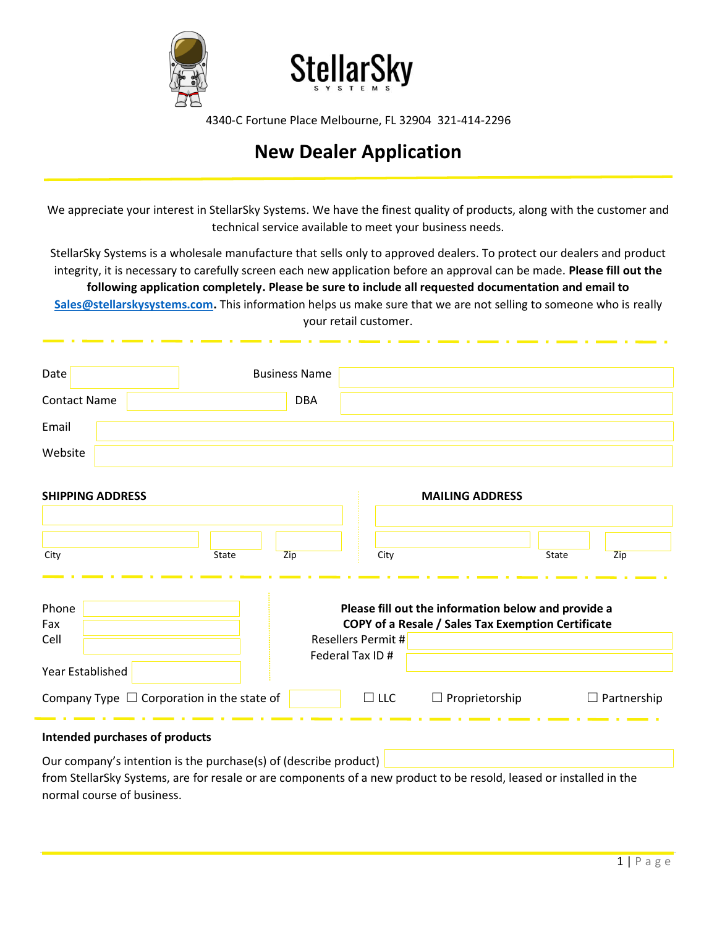



4340-C Fortune Place Melbourne, FL 32904 321-414-2296

## **New Dealer Application**

We appreciate your interest in StellarSky Systems. We have the finest quality of products, along with the customer and technical service available to meet your business needs.

StellarSky Systems is a wholesale manufacture that sells only to approved dealers. To protect our dealers and product integrity, it is necessary to carefully screen each new application before an approval can be made. **Please fill out the following application completely. Please be sure to include all requested documentation and email to [Sales@stellarskysystems.com.](mailto:Sales@stellarskysystems.com)** This information helps us make sure that we are not selling to someone who is really your retail customer.

| Date                                                             | <b>Business Name</b> |                                                                                                                                        |                        |                    |
|------------------------------------------------------------------|----------------------|----------------------------------------------------------------------------------------------------------------------------------------|------------------------|--------------------|
| <b>Contact Name</b>                                              | <b>DBA</b>           |                                                                                                                                        |                        |                    |
| Email                                                            |                      |                                                                                                                                        |                        |                    |
| Website                                                          |                      |                                                                                                                                        |                        |                    |
| <b>SHIPPING ADDRESS</b>                                          |                      |                                                                                                                                        | <b>MAILING ADDRESS</b> |                    |
| City                                                             | State<br>Zip         | City                                                                                                                                   | State                  | Zip                |
| Phone<br>Fax<br>Cell                                             |                      | Please fill out the information below and provide a<br>COPY of a Resale / Sales Tax Exemption Certificate<br><b>Resellers Permit #</b> |                        |                    |
| Year Established                                                 |                      | Federal Tax ID #                                                                                                                       |                        |                    |
| Company Type $\Box$ Corporation in the state of                  |                      | $\Box$ LLC                                                                                                                             | $\Box$ Proprietorship  | $\Box$ Partnership |
| Intended purchases of products                                   |                      |                                                                                                                                        |                        |                    |
| Our company's intention is the purchase(s) of (describe product) |                      |                                                                                                                                        |                        |                    |

from StellarSky Systems, are for resale or are components of a new product to be resold, leased or installed in the normal course of business.